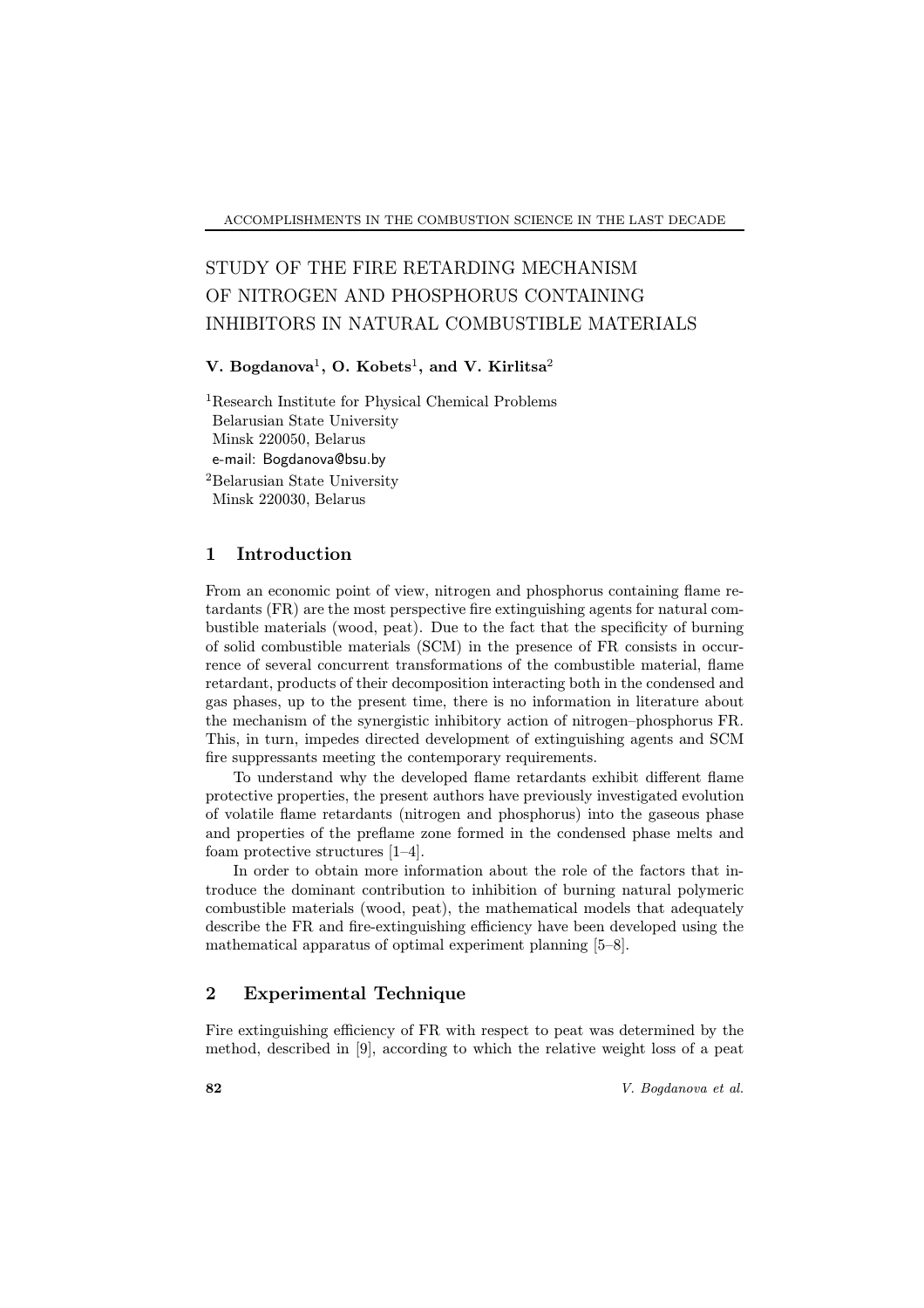# STUDY OF THE FIRE RETARDING MECHANISM OF NITROGEN AND PHOSPHORUS CONTAINING INHIBITORS IN NATURAL COMBUSTIBLE MATERIALS

### V. Bogdanova $^1$ , O. Kobets $^1$ , and V. Kirlitsa $^2$

<sup>1</sup>Research Institute for Physical Chemical Problems Belarusian State University Minsk 220050, Belarus e-mail: Bogdanova@bsu.by <sup>2</sup>Belarusian State University Minsk 220030, Belarus

## 1 Introduction

From an economic point of view, nitrogen and phosphorus containing flame retardants (FR) are the most perspective fire extinguishing agents for natural combustible materials (wood, peat). Due to the fact that the specificity of burning of solid combustible materials (SCM) in the presence of FR consists in occurrence of several concurrent transformations of the combustible material, flame retardant, products of their decomposition interacting both in the condensed and gas phases, up to the present time, there is no information in literature about the mechanism of the synergistic inhibitory action of nitrogen-phosphorus FR. This, in turn, impedes directed development of extinguishing agents and SCM fire suppressants meeting the contemporary requirements.

To understand why the developed flame retardants exhibit different flame protective properties, the present authors have previously investigated evolution of volatile flame retardants (nitrogen and phosphorus) into the gaseous phase and properties of the preflame zone formed in the condensed phase melts and foam protective structures  $[1-4]$ .

In order to obtain more information about the role of the factors that introduce the dominant contribution to inhibition of burning natural polymeric combustible materials (wood, peat), the mathematical models that adequately describe the FR and fire-extinguishing efficiency have been developed using the mathematical apparatus of optimal experiment planning  $[5-8]$ .

# 2 Experimental Technique

Fire extinguishing efficiency of FR with respect to peat was determined by the method, described in [9], according to which the relative weight loss of a peat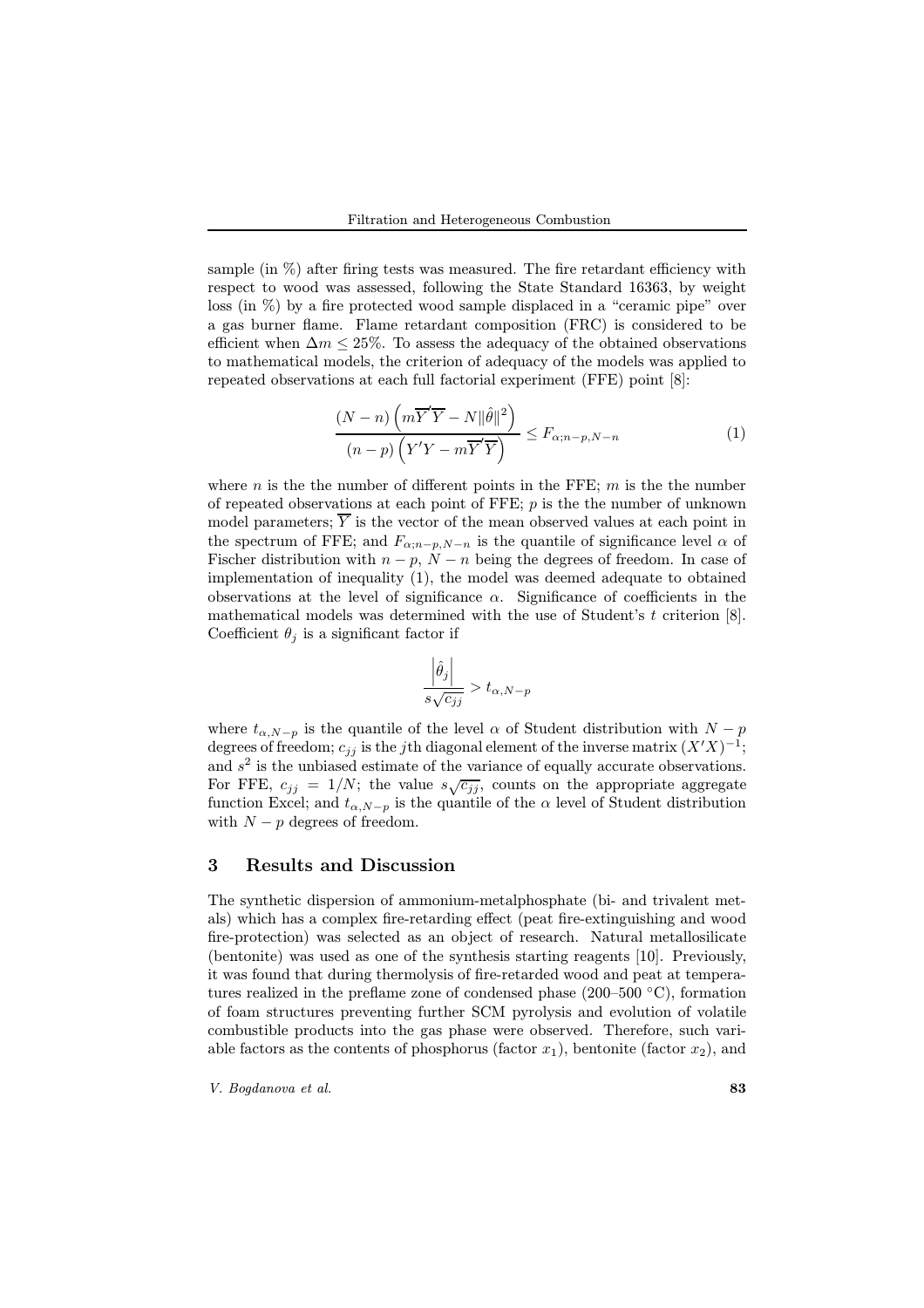sample (in  $\%$ ) after firing tests was measured. The fire retardant efficiency with respect to wood was assessed, following the State Standard 16363, by weight loss (in  $\%$ ) by a fire protected wood sample displaced in a "ceramic pipe" over a gas burner flame. Flame retardant composition (FRC) is considered to be efficient when  $\Delta m \leq 25\%$ . To assess the adequacy of the obtained observations to mathematical models, the criterion of adequacy of the models was applied to repeated observations at each full factorial experiment (FFE) point [8]:

$$
\frac{(N-n)\left(m\overline{Y}'\overline{Y} - N\|\hat{\theta}\|^2\right)}{(n-p)\left(Y'Y - m\overline{Y}'\overline{Y}\right)} \le F_{\alpha; n-p,N-n}
$$
\n(1)

where n is the the number of different points in the FFE;  $m$  is the the number of repeated observations at each point of FFE;  $p$  is the number of unknown model parameters;  $\overline{Y}$  is the vector of the mean observed values at each point in the spectrum of FFE; and  $F_{\alpha; n-p, N-n}$  is the quantile of significance level  $\alpha$  of Fischer distribution with  $n - p$ ,  $N - n$  being the degrees of freedom. In case of implementation of inequality (1), the model was deemed adequate to obtained observations at the level of significance  $\alpha$ . Significance of coefficients in the mathematical models was determined with the use of Student's  $t$  criterion [8]. Coefficient  $\theta_i$  is a significant factor if

$$
\frac{\left|\hat{\theta}_j\right|}{s\sqrt{c_{jj}}}>t_{\alpha,N-p}
$$

where  $t_{\alpha,N-p}$  is the quantile of the level  $\alpha$  of Student distribution with  $N-p$ degrees of freedom;  $c_{jj}$  is the jth diagonal element of the inverse matrix  $(X'X)^{-1}$ ; and  $s<sup>2</sup>$  is the unbiased estimate of the variance of equally accurate observations. For FFE,  $c_{jj} = 1/N$ ; the value  $s\sqrt{c_{jj}}$ , counts on the appropriate aggregate function Excel; and  $t_{\alpha,N-p}$  is the quantile of the  $\alpha$  level of Student distribution with  $N - p$  degrees of freedom.

#### 3 Results and Discussion

The synthetic dispersion of ammonium-metalphosphate (bi- and trivalent metals) which has a complex fire-retarding effect (peat fire-extinguishing and wood fire-protection) was selected as an object of research. Natural metallosilicate (bentonite) was used as one of the synthesis starting reagents [10]. Previously, it was found that during thermolysis of fire-retarded wood and peat at temperatures realized in the preflame zone of condensed phase  $(200-500 \degree C)$ , formation of foam structures preventing further SCM pyrolysis and evolution of volatile combustible products into the gas phase were observed. Therefore, such variable factors as the contents of phosphorus (factor  $x_1$ ), bentonite (factor  $x_2$ ), and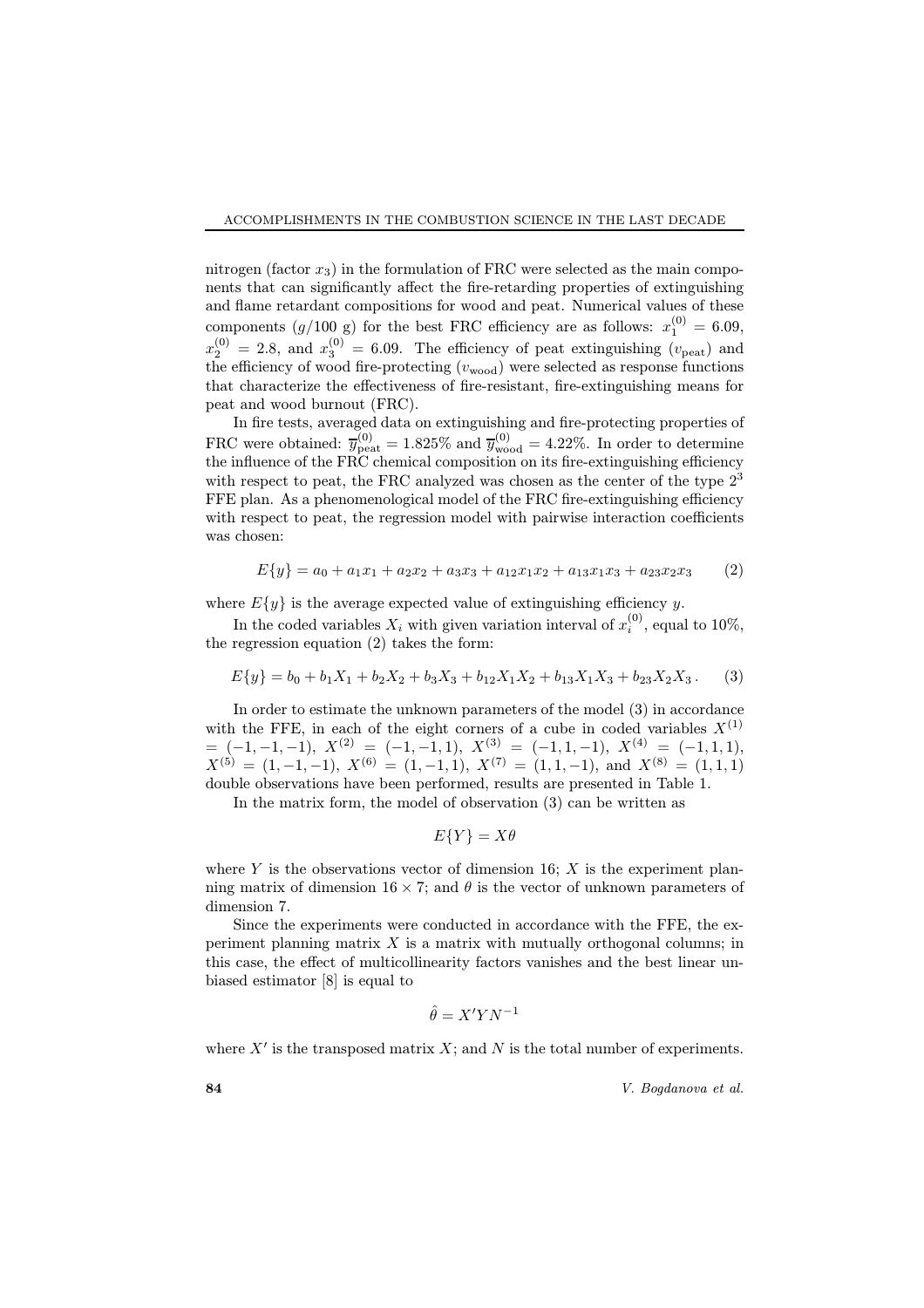nitrogen (factor  $x_3$ ) in the formulation of FRC were selected as the main components that can significantly affect the fire-retarding properties of extinguishing and flame retardant compositions for wood and peat. Numerical values of these components  $(g/100 \text{ g})$  for the best FRC efficiency are as follows:  $x_1^{(0)} = 6.09$ ,  $x_2^{(0)} = 2.8$ , and  $x_3^{(0)} = 6.09$ . The efficiency of peat extinguishing  $(v_{\text{peak}})$  and the efficiency of wood fire-protecting  $(v_{\text{wood}})$  were selected as response functions that characterize the effectiveness of fire-resistant, fire-extinguishing means for peat and wood burnout (FRC).

In fire tests, averaged data on extinguishing and fire-protecting properties of FRC were obtained:  $\overline{y}_{\text{peak}}^{(0)} = 1.825\%$  and  $\overline{y}_{\text{wood}}^{(0)} = 4.22\%$ . In order to determine the influence of the FRC chemical composition on its fire-extinguishing efficiency with respect to peat, the FRC analyzed was chosen as the center of the type  $2<sup>3</sup>$ FFE plan. As a phenomenological model of the FRC fire-extinguishing efficiency with respect to peat, the regression model with pairwise interaction coefficients was chosen:

$$
E\{y\} = a_0 + a_1x_1 + a_2x_2 + a_3x_3 + a_{12}x_1x_2 + a_{13}x_1x_3 + a_{23}x_2x_3
$$
 (2)

where  $E\{y\}$  is the average expected value of extinguishing efficiency y.

In the coded variables  $X_i$  with given variation interval of  $x_i^{(0)}$ , equal to 10%, the regression equation (2) takes the form:

$$
E\{y\} = b_0 + b_1X_1 + b_2X_2 + b_3X_3 + b_{12}X_1X_2 + b_{13}X_1X_3 + b_{23}X_2X_3.
$$
 (3)

In order to estimate the unknown parameters of the model (3) in accordance with the FFE, in each of the eight corners of a cube in coded variables  $X^{(1)}$  $=$  (-1, -1, -1),  $X^{(2)} =$  (-1, -1, 1),  $X^{(3)} =$  (-1, 1, -1),  $X^{(4)} =$  (-1, 1, 1),  $X^{(5)} = (1, -1, -1), X^{(6)} = (1, -1, 1), X^{(7)} = (1, 1, -1), \text{ and } X^{(8)} = (1, 1, 1)$ double observations have been performed, results are presented in Table 1.

In the matrix form, the model of observation (3) can be written as

$$
E\{Y\} = X\theta
$$

where Y is the observations vector of dimension 16;  $X$  is the experiment planning matrix of dimension  $16 \times 7$ ; and  $\theta$  is the vector of unknown parameters of dimension 7.

Since the experiments were conducted in accordance with the FFE, the experiment planning matrix  $X$  is a matrix with mutually orthogonal columns; in this case, the effect of multicollinearity factors vanishes and the best linear unbiased estimator [8] is equal to

$$
\hat{\theta} = X'YN^{-1}
$$

where  $X'$  is the transposed matrix  $X$ ; and  $N$  is the total number of experiments.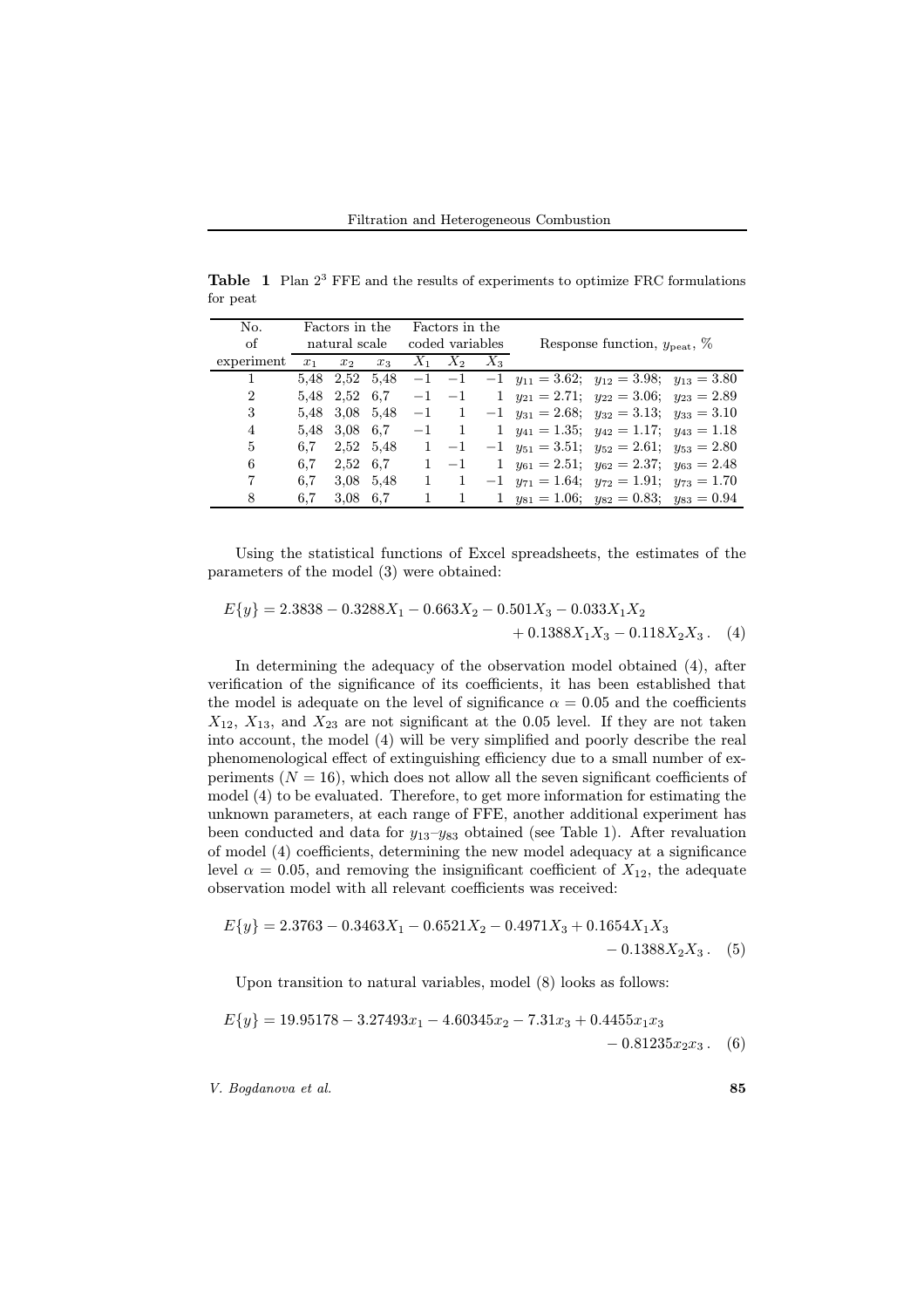**Table 1** Plan  $2<sup>3</sup>$  FFE and the results of experiments to optimize FRC formulations for peat

| No.            | Factors in the |                |           | Factors in the  |             |              |                                                          |                                          |  |
|----------------|----------------|----------------|-----------|-----------------|-------------|--------------|----------------------------------------------------------|------------------------------------------|--|
| of             | natural scale  |                |           | coded variables |             |              |                                                          | Response function, $y_{\text{beat}}$ , % |  |
| experiment     | $x_1$          | x <sub>2</sub> | $x_3$     |                 | $X_1$ $X_2$ | $X_3$        |                                                          |                                          |  |
|                |                | 5.48 2.52 5.48 |           | $-1$            | $-1$        |              | $-1$ $y_{11} = 3.62;$ $y_{12} = 3.98;$ $y_{13} = 3.80$   |                                          |  |
| $\overline{2}$ |                | 5.48 2.52 6.7  |           |                 | $-1$ $-1$   | $\mathbf{1}$ | $y_{21} = 2.71; y_{22} = 3.06; y_{23} = 2.89$            |                                          |  |
| 3              |                | 5.48 3.08 5.48 |           | $-1$            | -1          |              | $-1$ $y_{31} = 2.68;$ $y_{32} = 3.13;$ $y_{33} = 3.10$   |                                          |  |
| 4              |                | 5.48 3.08 6.7  |           | $-1$            | -1          | $\mathbf{1}$ | $y_{41} = 1.35; \ y_{42} = 1.17; \ y_{43} = 1.18$        |                                          |  |
| 5              | 6.7            | 2,52 5,48      |           | $\mathbf{1}$    | $-1$        |              | $-1$ $y_{51} = 3.51;$ $y_{52} = 2.61;$ $y_{53} = 2.80$   |                                          |  |
| 6              | 6.7            |                | 2,52 6.7  | $\mathbf{1}$    | $-1$        | $\mathbf{1}$ | $y_{61} = 2.51; y_{62} = 2.37; y_{63} = 2.48$            |                                          |  |
| 7              | 6.7            |                | 3.08 5.48 |                 |             |              | $-1$ $y_{71} = 1.64$ ; $y_{72} = 1.91$ ; $y_{73} = 1.70$ |                                          |  |
| 8              | 6.7            | 3.08 6.7       |           |                 |             |              | 1 $y_{81} = 1.06$ ; $y_{82} = 0.83$ ; $y_{83} = 0.94$    |                                          |  |

Using the statistical functions of Excel spreadsheets, the estimates of the parameters of the model (3) were obtained:

$$
E\{y\} = 2.3838 - 0.3288X_1 - 0.663X_2 - 0.501X_3 - 0.033X_1X_2 + 0.1388X_1X_3 - 0.118X_2X_3.
$$
 (4)

In determining the adequacy of the observation model obtained (4), after verification of the significance of its coefficients, it has been established that the model is adequate on the level of significance  $\alpha = 0.05$  and the coefficients  $X_{12}$ ,  $X_{13}$ , and  $X_{23}$  are not significant at the 0.05 level. If they are not taken into account, the model (4) will be very simplified and poorly describe the real phenomenological effect of extinguishing efficiency due to a small number of experiments ( $N = 16$ ), which does not allow all the seven significant coefficients of model (4) to be evaluated. Therefore, to get more information for estimating the unknown parameters, at each range of FFE, another additional experiment has been conducted and data for  $y_{13}-y_{83}$  obtained (see Table 1). After revaluation of model (4) coefficients, determining the new model adequacy at a significance level  $\alpha = 0.05$ , and removing the insignificant coefficient of  $X_{12}$ , the adequate observation model with all relevant coefficients was received:

$$
E{y} = 2.3763 - 0.3463X_1 - 0.6521X_2 - 0.4971X_3 + 0.1654X_1X_3 - 0.1388X_2X_3.
$$
 (5)

Upon transition to natural variables, model (8) looks as follows:

$$
E\{y\} = 19.95178 - 3.27493x_1 - 4.60345x_2 - 7.31x_3 + 0.4455x_1x_3 - 0.81235x_2x_3.
$$
 (6)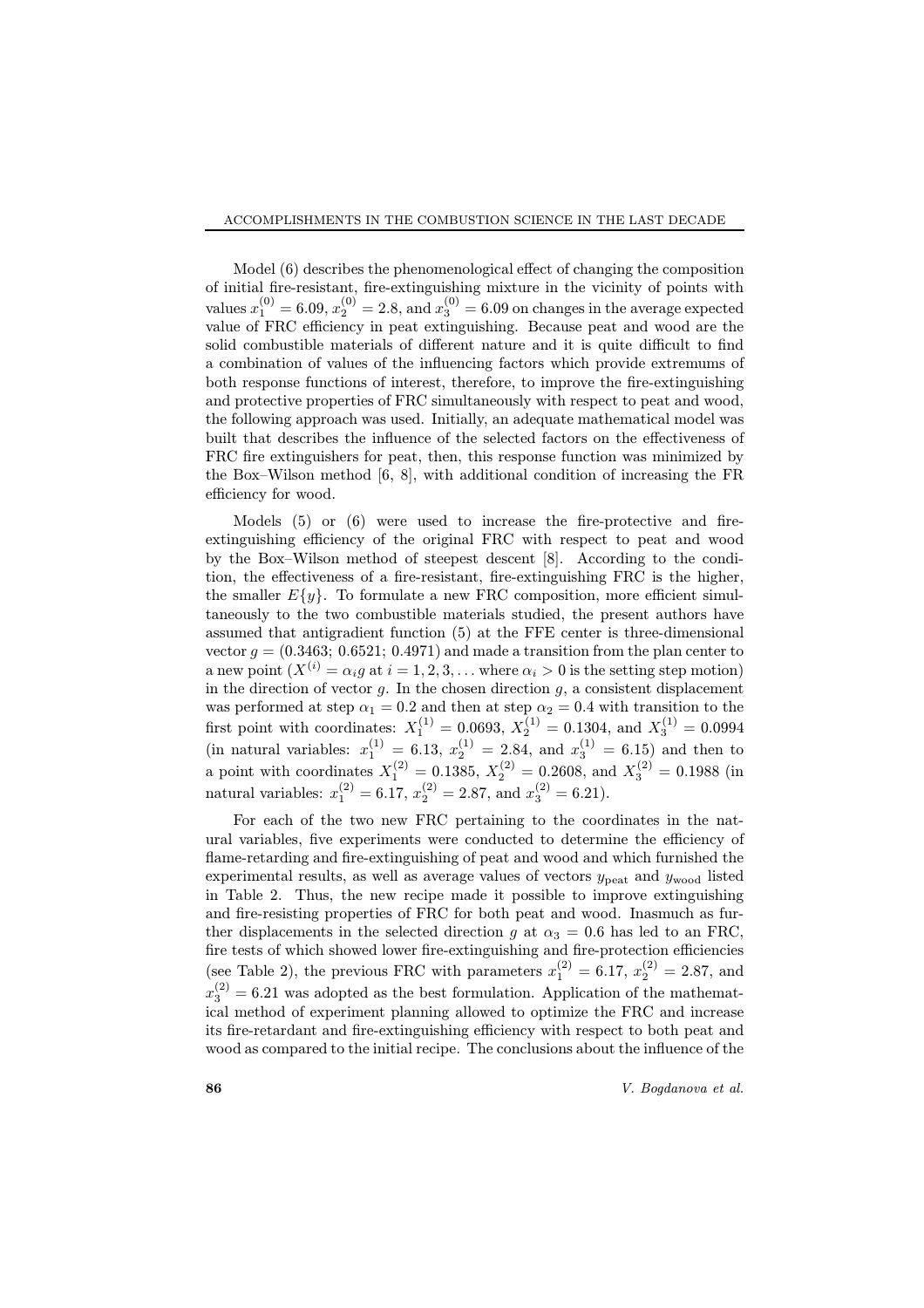Model  $(6)$  describes the phenomenological effect of changing the composition of initial fire-resistant, fire-extinguishing mixture in the vicinity of points with values  $x_1^{(0)} = 6.09, x_2^{(0)} = 2.8$ , and  $x_3^{(0)} = 6.09$  on changes in the average expected value of FRC efficiency in peat extinguishing. Because peat and wood are the solid combustible materials of different nature and it is quite difficult to find a combination of values of the influencing factors which provide extremums of both response functions of interest, therefore, to improve the fire-extinguishing and protective properties of FRC simultaneously with respect to peat and wood, the following approach was used. Initially, an adequate mathematical model was built that describes the influence of the selected factors on the effectiveness of FRC fire extinguishers for peat, then, this response function was minimized by the Box–Wilson method  $[6, 8]$ , with additional condition of increasing the FR efficiency for wood.

Models  $(5)$  or  $(6)$  were used to increase the fire-protective and fireextinguishing efficiency of the original FRC with respect to peat and wood by the Box-Wilson method of steepest descent [8]. According to the condition, the effectiveness of a fire-resistant, fire-extinguishing FRC is the higher, the smaller  $E\{y\}$ . To formulate a new FRC composition, more efficient simultaneously to the two combustible materials studied, the present authors have assumed that antigradient function (5) at the FFE center is three-dimensional vector  $g = (0.3463; 0.6521; 0.4971)$  and made a transition from the plan center to a new point  $(X^{(i)} = \alpha_i g$  at  $i = 1, 2, 3, ...$  where  $\alpha_i > 0$  is the setting step motion) in the direction of vector  $g$ . In the chosen direction  $g$ , a consistent displacement was performed at step  $\alpha_1 = 0.2$  and then at step  $\alpha_2 = 0.4$  with transition to the first point with coordinates:  $X_1^{(1)} = 0.0693, X_2^{(1)} = 0.1304$ , and  $X_3^{(1)} = 0.0994$ (in natural variables:  $x_1^{(1)} = 6.13, x_2^{(1)} = 2.84$ , and  $x_3^{(1)} = 6.15$ ) and then to a point with coordinates  $X_1^{(2)} = 0.1385, X_2^{(2)} = 0.2608$ , and  $X_3^{(2)} = 0.1988$  (in natural variables:  $x_1^{(2)} = 6.17, x_2^{(2)} = 2.87$ , and  $x_3^{(2)} = 6.21$ ).

For each of the two new FRC pertaining to the coordinates in the natural variables, five experiments were conducted to determine the efficiency of flame-retarding and fire-extinguishing of peat and wood and which furnished the experimental results, as well as average values of vectors  $y_{\text{peak}}$  and  $y_{\text{wood}}$  listed in Table 2. Thus, the new recipe made it possible to improve extinguishing and fire-resisting properties of FRC for both peat and wood. Inasmuch as further displacements in the selected direction q at  $\alpha_3 = 0.6$  has led to an FRC, fire tests of which showed lower fire-extinguishing and fire-protection efficiencies (see Table 2), the previous FRC with parameters  $x_1^{(2)} = 6.17, x_2^{(2)} = 2.87$ , and  $x_3^{(2)} = 6.21$  was adopted as the best formulation. Application of the mathematical method of experiment planning allowed to optimize the FRC and increase its fire-retardant and fire-extinguishing efficiency with respect to both peat and wood as compared to the initial recipe. The conclusions about the influence of the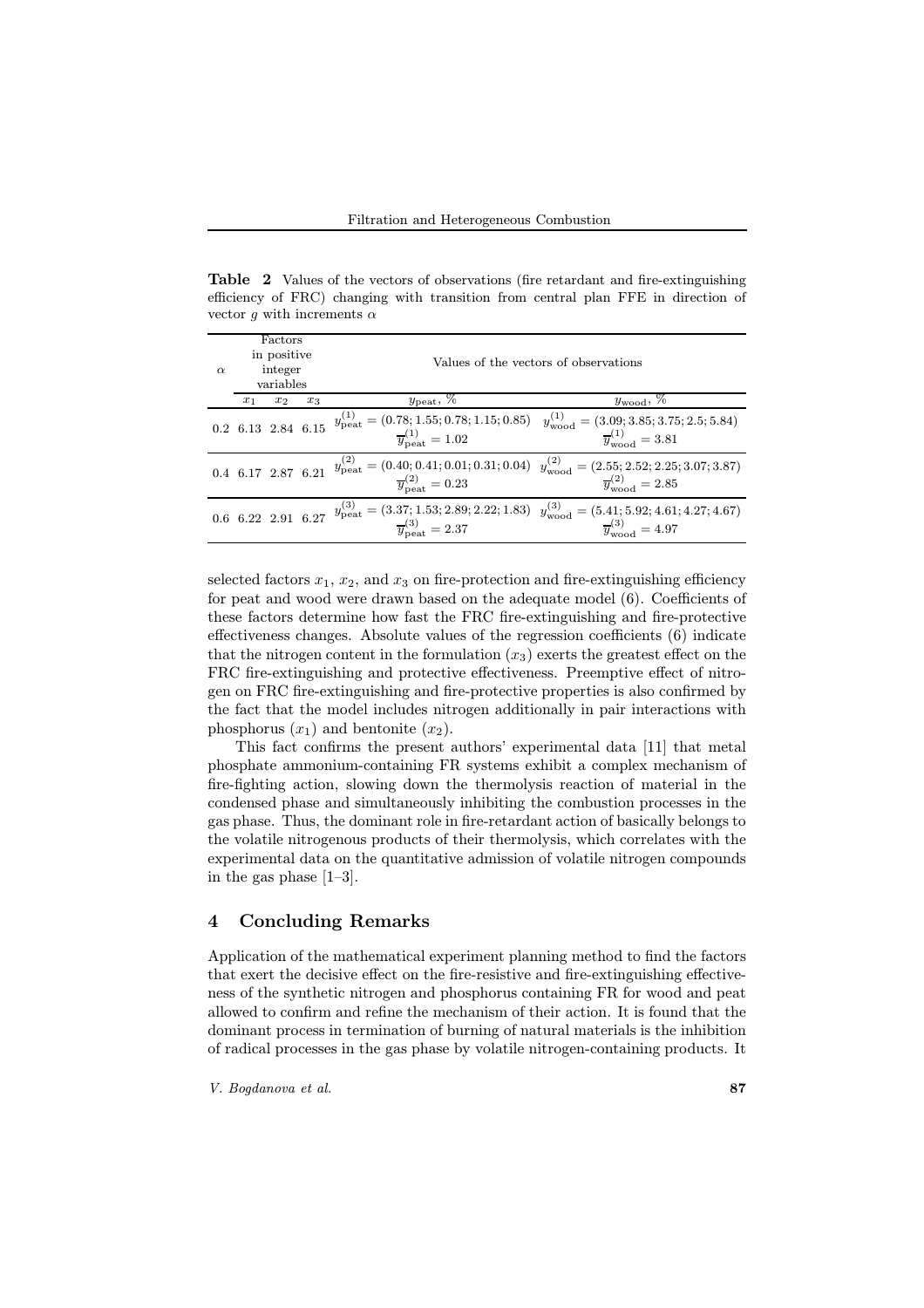Table 2 Values of the vectors of observations (fire retardant and fire-extinguishing efficiency of FRC) changing with transition from central plan FFE in direction of vector g with increments  $\alpha$ 

| $\alpha$ | Factors<br>in positive<br>integer<br>variables |       |       | Values of the vectors of observations     |                                                                                                                                                                                                                             |  |  |  |  |
|----------|------------------------------------------------|-------|-------|-------------------------------------------|-----------------------------------------------------------------------------------------------------------------------------------------------------------------------------------------------------------------------------|--|--|--|--|
|          | $x_1$                                          | $x_2$ | $x_3$ | $y_{\text{peak}}, \overline{\%}$          | $y_{\text{wood}}, \overline{\%}$                                                                                                                                                                                            |  |  |  |  |
|          |                                                |       |       |                                           | 0.2 6.13 2.84 6.15 $y_{\text{peak}}^{(1)} = (0.78; 1.55; 0.78; 1.15; 0.85)$ $y_{\text{wood}}^{(1)} = (3.09; 3.85; 3.75; 2.5; 5.84)$<br>$\overline{y}_{\text{wood}}^{(1)} = 1.02$ $\overline{y}_{\text{wood}}^{(1)} = 3.81$  |  |  |  |  |
|          |                                                |       |       | $\overline{y}_{\text{heat}}^{(2)} = 0.23$ | 0.4 6.17 2.87 6.21 $y_{\text{peak}}^{(2)} = (0.40; 0.41; 0.01; 0.31; 0.04)$ $y_{\text{wood}}^{(2)} = (2.55; 2.52; 2.25; 3.07; 3.87)$<br>$\overline{y}_{\text{heat}}^{(2)} = 0.23$ $\overline{y}_{\text{wood}}^{(2)} = 2.85$ |  |  |  |  |
|          |                                                |       |       |                                           | 0.6 6.22 2.91 6.27 $y_{\text{peak}}^{(3)} = (3.37; 1.53; 2.89; 2.22; 1.83)$ $y_{\text{wood}}^{(3)} = (5.41; 5.92; 4.61; 4.27; 4.67)$<br>$\overline{y}_{\text{wood}}^{(3)} = 2.37$ $\overline{y}_{\text{wood}}^{(3)} = 4.97$ |  |  |  |  |

selected factors  $x_1, x_2,$  and  $x_3$  on fire-protection and fire-extinguishing efficiency for peat and wood were drawn based on the adequate model  $(6)$ . Coefficients of these factors determine how fast the FRC fire-extinguishing and fire-protective effectiveness changes. Absolute values of the regression coefficients  $(6)$  indicate that the nitrogen content in the formulation  $(x_3)$  exerts the greatest effect on the FRC fire-extinguishing and protective effectiveness. Preemptive effect of nitrogen on FRC fire-extinguishing and fire-protective properties is also confirmed by the fact that the model includes nitrogen additionally in pair interactions with phosphorus  $(x_1)$  and bentonite  $(x_2)$ .

This fact confirms the present authors' experimental data [11] that metal phosphate ammonium-containing FR systems exhibit a complex mechanism of fire-fighting action, slowing down the thermolysis reaction of material in the condensed phase and simultaneously inhibiting the combustion processes in the gas phase. Thus, the dominant role in fire-retardant action of basically belongs to the volatile nitrogenous products of their thermolysis, which correlates with the experimental data on the quantitative admission of volatile nitrogen compounds in the gas phase  $[1-3]$ .

### 4 Concluding Remarks

Application of the mathematical experiment planning method to find the factors that exert the decisive effect on the fire-resistive and fire-extinguishing effectiveness of the synthetic nitrogen and phosphorus containing FR for wood and peat allowed to confirm and refine the mechanism of their action. It is found that the dominant process in termination of burning of natural materials is the inhibition of radical processes in the gas phase by volatile nitrogen-containing products. It